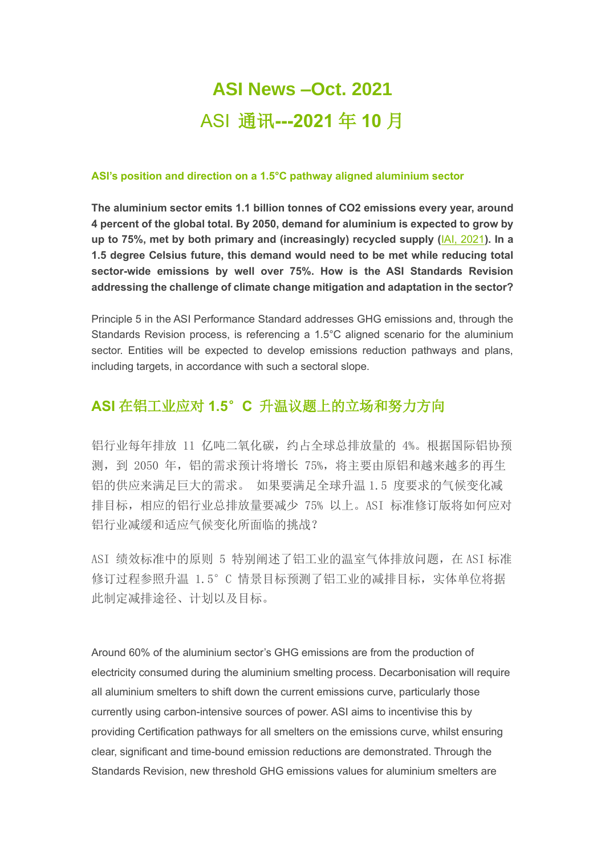# **ASI News –Oct. 2021** ASI 通讯**---2021** 年 **10** 月

#### **ASI's position and direction on a 1.5°C pathway aligned aluminium sector**

**The aluminium sector emits 1.1 billion tonnes of CO2 emissions every year, around 4 percent of the global total. By 2050, demand for aluminium is expected to grow by up to 75%, met by both primary and (increasingly) recycled supply (**[IAI, 2021](https://aluminium-stewardship.us10.list-manage.com/track/click?u=76e1739f033b4fd1950bedeb0&id=8282fa9009&e=1a1c75c2f0)**). In a 1.5 degree Celsius future, this demand would need to be met while reducing total sector-wide emissions by well over 75%. How is the ASI Standards Revision addressing the challenge of climate change mitigation and adaptation in the sector?**

Principle 5 in the ASI Performance Standard addresses GHG emissions and, through the Standards Revision process, is referencing a 1.5°C aligned scenario for the aluminium sector. Entities will be expected to develop emissions reduction pathways and plans, including targets, in accordance with such a sectoral slope.

### **ASI** 在铝工业应对 **1.5**°**C** 升温议题上的立场和努力方向

铝行业每年排放 11 亿吨二氧化碳,约占全球总排放量的 4%。根据国际铝协预 测,到 2050 年,铝的需求预计将增长 75%,将主要由原铝和越来越多的再生 铝的供应来满足巨大的需求。 如果要满足全球升温 1.5 度要求的气候变化减 排目标,相应的铝行业总排放量要减少 75% 以上。ASI 标准修订版将如何应对 铝行业减缓和适应气候变化所面临的挑战?

ASI 绩效标准中的原则 5 特别阐述了铝工业的温室气体排放问题,在 ASI 标准 修订过程参照升温 1.5°C 情景目标预测了铝工业的减排目标, 实体单位将据 此制定减排途径、计划以及目标。

Around 60% of the aluminium sector's GHG emissions are from the production of electricity consumed during the aluminium smelting process. Decarbonisation will require all aluminium smelters to shift down the current emissions curve, particularly those currently using carbon-intensive sources of power. ASI aims to incentivise this by providing Certification pathways for all smelters on the emissions curve, whilst ensuring clear, significant and time-bound emission reductions are demonstrated. Through the Standards Revision, new threshold GHG emissions values for aluminium smelters are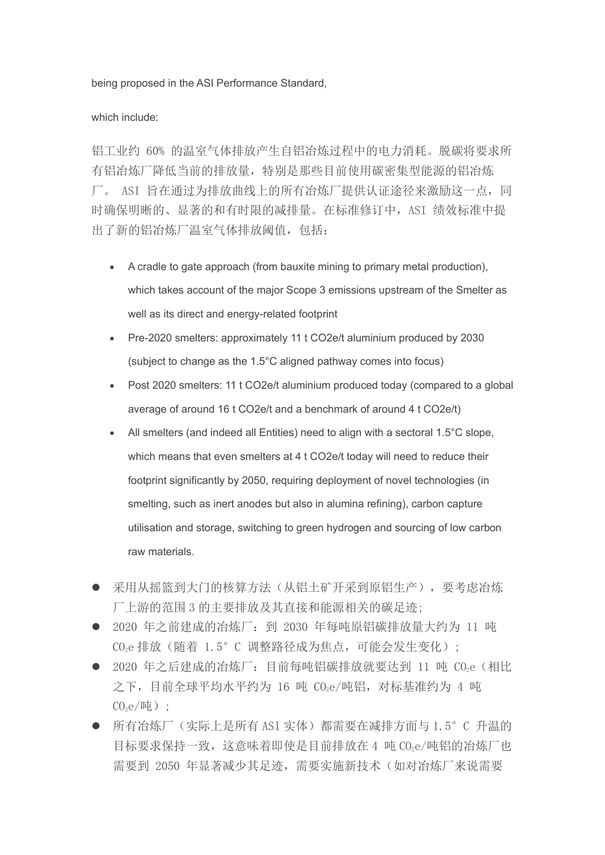being proposed in the ASI Performance Standard,

#### which include:

铝工业约 60% 的温室气体排放产生自铝冶炼过程中的电力消耗。脱碳将要求所 有铝冶炼厂降低当前的排放量,特别是那些目前使用碳密集型能源的铝冶炼 厂。 ASI 旨在通过为排放曲线上的所有冶炼厂提供认证途径来激励这一点,同 时确保明晰的、显著的和有时限的减排量。在标准修订中, ASI 绩效标准中提 出了新的铝冶炼厂温室气体排放阈值,包括:

- A cradle to gate approach (from bauxite mining to primary metal production), which takes account of the major Scope 3 emissions upstream of the Smelter as well as its direct and energy-related footprint
- Pre-2020 smelters: approximately 11 t CO2e/t aluminium produced by 2030 (subject to change as the 1.5°C aligned pathway comes into focus)
- Post 2020 smelters: 11 t CO2e/t aluminium produced today (compared to a global average of around 16 t CO2e/t and a benchmark of around 4 t CO2e/t)
- All smelters (and indeed all Entities) need to align with a sectoral 1.5°C slope, which means that even smelters at 4 t CO2e/t today will need to reduce their footprint significantly by 2050, requiring deployment of novel technologies (in smelting, such as inert anodes but also in alumina refining), carbon capture utilisation and storage, switching to green hydrogen and sourcing of low carbon raw materials.
- 采用从摇篮到大门的核算方法(从铝土矿开采到原铝生产),要考虑冶炼 厂上游的范围 3 的主要排放及其直接和能源相关的碳足迹;
- 2020 年之前建成的冶炼厂: 到 2030 年每吨原铝碳排放量大约为 11 吨 CO2e 排放(随着 1.5°C 调整路径成为焦点,可能会发生变化);
- 2020 年之后建成的冶炼厂: 目前每吨铝碳排放就要达到 11 吨 CO2e (相比 之下,目前全球平均水平约为 16 吨 CO2e/吨铝, 对标基准约为 4 吨  $CO<sub>2</sub>e/$ 吨):
- 所有冶炼厂(实际上是所有 ASI 实体)都需要在减排方面与 1.5°C 升温的 目标要求保持一致,这意味着即使是目前排放在 4 吨 CO<sub>2</sub>e/吨铝的冶炼厂也 需要到 2050 年显著减少其足迹, 需要实施新技术(如对冶炼厂来说需要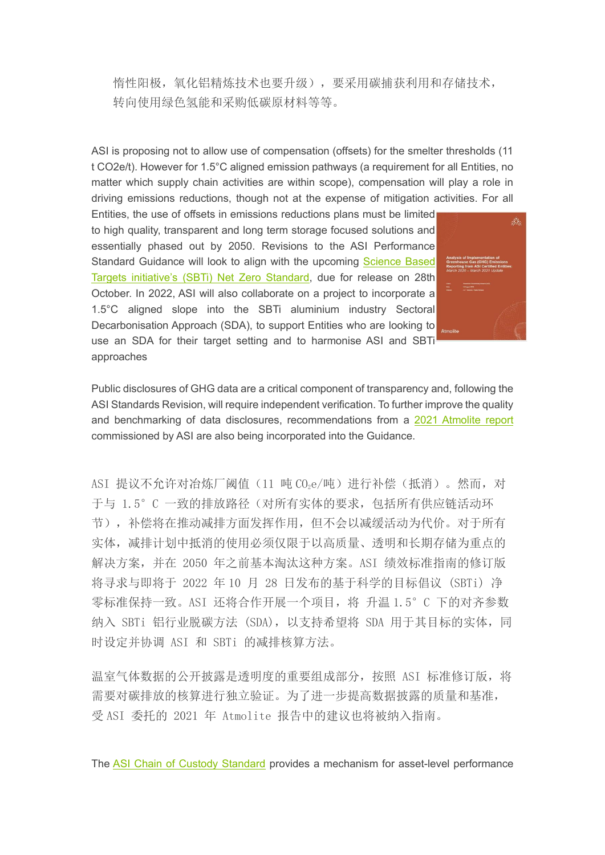惰性阳极,氧化铝精炼技术也要升级),要采用碳捕获利用和存储技术, 转向使用绿色氢能和采购低碳原材料等等。

ASI is proposing not to allow use of compensation (offsets) for the smelter thresholds (11 t CO2e/t). However for 1.5°C aligned emission pathways (a requirement for all Entities, no matter which supply chain activities are within scope), compensation will play a role in driving emissions reductions, though not at the expense of mitigation activities. For all

Entities, the use of offsets in emissions reductions plans must be limited to high quality, transparent and long term storage focused solutions and essentially phased out by 2050. Revisions to the ASI Performance Standard Guidance will look to align with the upcoming [Science Based](https://aluminium-stewardship.us10.list-manage.com/track/click?u=76e1739f033b4fd1950bedeb0&id=322b9f9000&e=1a1c75c2f0)  [Targets initiative's \(SBTi\) Net Zero Standard,](https://aluminium-stewardship.us10.list-manage.com/track/click?u=76e1739f033b4fd1950bedeb0&id=322b9f9000&e=1a1c75c2f0) due for release on 28th October. In 2022, ASI will also collaborate on a project to incorporate a 1.5°C aligned slope into the SBTi aluminium industry Sectoral Decarbonisation Approach (SDA), to support Entities who are looking to use an SDA for their target setting and to harmonise ASI and SBTi approaches



Public disclosures of GHG data are a critical component of transparency and, following the ASI Standards Revision, will require independent verification. To further improve the quality and benchmarking of data disclosures, recommendations from a [2021 Atmolite report](https://aluminium-stewardship.us10.list-manage.com/track/click?u=76e1739f033b4fd1950bedeb0&id=1cbb7a57dc&e=1a1c75c2f0) commissioned by ASI are also being incorporated into the Guidance.

ASI 提议不允许对冶炼厂阈值(11 吨 COee/吨)进行补偿(抵消)。然而,对 于与 1.5°C 一致的排放路径(对所有实体的要求,包括所有供应链活动环 节),补偿将在推动减排方面发挥作用,但不会以减缓活动为代价。对于所有 实体,减排计划中抵消的使用必须仅限于以高质量、透明和长期存储为重点的 解决方案,并在 2050 年之前基本淘汰这种方案。ASI 绩效标准指南的修订版 将寻求与即将于 2022 年 10 月 28 日发布的基于科学的目标倡议 (SBTi) 净 零标准保持一致。ASI 还将合作开展一个项目, 将 升温 1.5°C 下的对齐参数 纳入 SBTi 铝行业脱碳方法 (SDA), 以支持希望将 SDA 用于其目标的实体, 同 时设定并协调 ASI 和 SBTi 的减排核算方法。

温室气体数据的公开披露是透明度的重要组成部分,按照 ASI 标准修订版, 将 需要对碳排放的核算进行独立验证。为了进一步提高数据披露的质量和基准, 受 ASI 委托的 2021 年 Atmolite 报告中的建议也将被纳入指南。

The [ASI Chain of Custody Standard](https://aluminium-stewardship.us10.list-manage.com/track/click?u=76e1739f033b4fd1950bedeb0&id=07e9e7e7bf&e=1a1c75c2f0) provides a mechanism for asset-level performance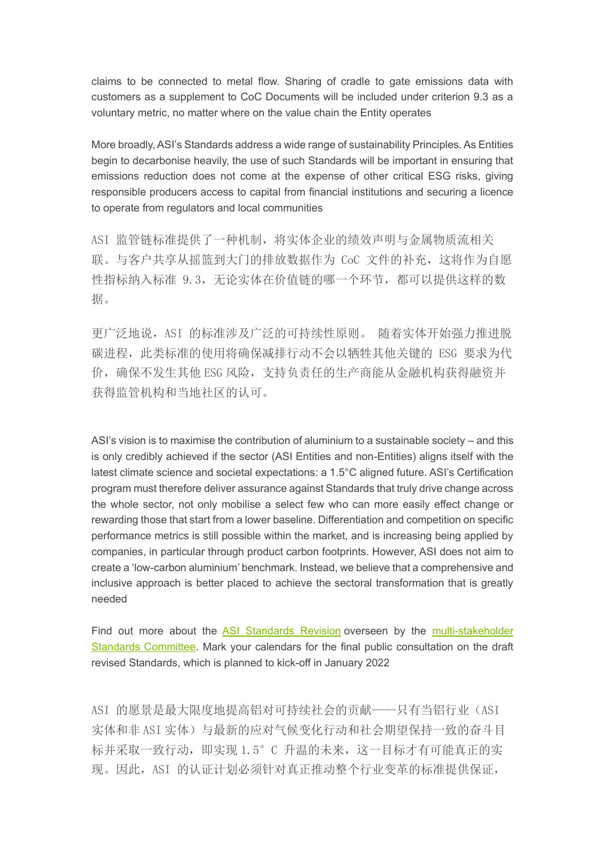claims to be connected to metal flow. Sharing of cradle to gate emissions data with customers as a supplement to CoC Documents will be included under criterion 9.3 as a voluntary metric, no matter where on the value chain the Entity operates

More broadly, ASI's Standards address a wide range of sustainability Principles. As Entities begin to decarbonise heavily, the use of such Standards will be important in ensuring that emissions reduction does not come at the expense of other critical ESG risks, giving responsible producers access to capital from financial institutions and securing a licence to operate from regulators and local communities

ASI 监管链标准提供了一种机制,将实体企业的绩效声明与金属物质流相关 联。与客户共享从摇篮到大门的排放数据作为 CoC 文件的补充,这将作为自愿 性指标纳入标准 9.3,无论实体在价值链的哪一个环节,都可以提供这样的数 据。

更广泛地说,ASI 的标准涉及广泛的可持续性原则。 随着实体开始强力推进脱 碳进程,此类标准的使用将确保减排行动不会以牺牲其他关键的 ESG 要求为代 价,确保不发生其他 ESG 风险,支持负责任的生产商能从金融机构获得融资并 获得监管机构和当地社区的认可。

ASI's vision is to maximise the contribution of aluminium to a sustainable society – and this is only credibly achieved if the sector (ASI Entities and non-Entities) aligns itself with the latest climate science and societal expectations: a 1.5°C aligned future. ASI's Certification program must therefore deliver assurance against Standards that truly drive change across the whole sector, not only mobilise a select few who can more easily effect change or rewarding those that start from a lower baseline. Differentiation and competition on specific performance metrics is still possible within the market, and is increasing being applied by companies, in particular through product carbon footprints. However, ASI does not aim to create a 'low-carbon aluminium' benchmark. Instead, we believe that a comprehensive and inclusive approach is better placed to achieve the sectoral transformation that is greatly needed

Find out more about the [ASI Standards Revision](https://aluminium-stewardship.us10.list-manage.com/track/click?u=76e1739f033b4fd1950bedeb0&id=6e2f7f3907&e=1a1c75c2f0) overseen by the [multi-stakeholder](https://aluminium-stewardship.us10.list-manage.com/track/click?u=76e1739f033b4fd1950bedeb0&id=dae377345a&e=1a1c75c2f0)  [Standards Committee.](https://aluminium-stewardship.us10.list-manage.com/track/click?u=76e1739f033b4fd1950bedeb0&id=dae377345a&e=1a1c75c2f0) Mark your calendars for the final public consultation on the draft revised Standards, which is planned to kick-off in January 2022

ASI 的愿景是最大限度地提高铝对可持续社会的贡献——只有当铝行业(ASI 实体和非 ASI 实体)与最新的应对气候变化行动和社会期望保持一致的奋斗目 标并采取一致行动,即实现 1.5°C 升温的未来,这一目标才有可能真正的实 现。因此,ASI 的认证计划必须针对真正推动整个行业变革的标准提供保证,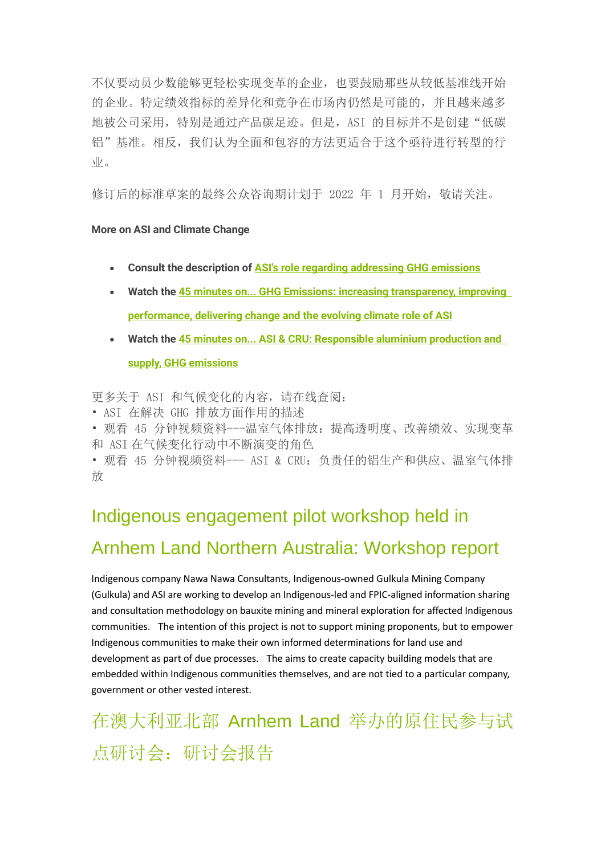不仅要动员少数能够更轻松实现变革的企业,也要鼓励那些从较低基准线开始 的企业。特定绩效指标的差异化和竞争在市场内仍然是可能的,并且越来越多 地被公司采用,特别是通过产品碳足迹。但是,ASI 的目标并不是创建"低碳 铝"基准。相反,我们认为全面和包容的方法更适合于这个亟待进行转型的行  $\frac{1}{k}$ 

修订后的标准草案的最终公众咨询期计划于 2022 年 1 月开始,敬请关注。

#### **More on ASI and Climate Change**

- Consult the description of [ASI's role regarding addressing](https://aluminium-stewardship.us10.list-manage.com/track/click?u=76e1739f033b4fd1950bedeb0&id=d359c9d902&e=1a1c75c2f0) GHG emissions
- Watch the 45 minutes on... GHG Emissions: increasing transparency, improving [performance, delivering change and the evolving climate role of ASI](https://aluminium-stewardship.us10.list-manage.com/track/click?u=76e1739f033b4fd1950bedeb0&id=d60fd46d56&e=1a1c75c2f0)
- Watch the [45 minutes on... ASI & CRU: Responsible aluminium production and](https://aluminium-stewardship.us10.list-manage.com/track/click?u=76e1739f033b4fd1950bedeb0&id=83fa8a0777&e=1a1c75c2f0)  [supply, GHG emissions](https://aluminium-stewardship.us10.list-manage.com/track/click?u=76e1739f033b4fd1950bedeb0&id=83fa8a0777&e=1a1c75c2f0)

更多关于 ASI 和气候变化的内容,请在线查阅:

• ASI 在解决 GHG 排放方面作用的描述

• 观看 45 分钟视频资料---温室气体排放:提高透明度、改善绩效、实现变革 和 ASI 在气候变化行动中不断演变的角色

• 观看 45 分钟视频资料--- ASI & CRU:负责任的铝生产和供应、温室气体排 放

# Indigenous engagement pilot workshop held in Arnhem Land Northern Australia: Workshop report

Indigenous company Nawa Nawa Consultants, Indigenous-owned Gulkula Mining Company (Gulkula) and ASI are working to develop an Indigenous-led and FPIC-aligned information sharing and consultation methodology on bauxite mining and mineral exploration for affected Indigenous communities. The intention of this project is not to support mining proponents, but to empower Indigenous communities to make their own informed determinations for land use and development as part of due processes. The aims to create capacity building models that are embedded within Indigenous communities themselves, and are not tied to a particular company, government or other vested interest.

在澳大利亚北部 Arnhem Land 举办的原住民参与试 点研讨会:研讨会报告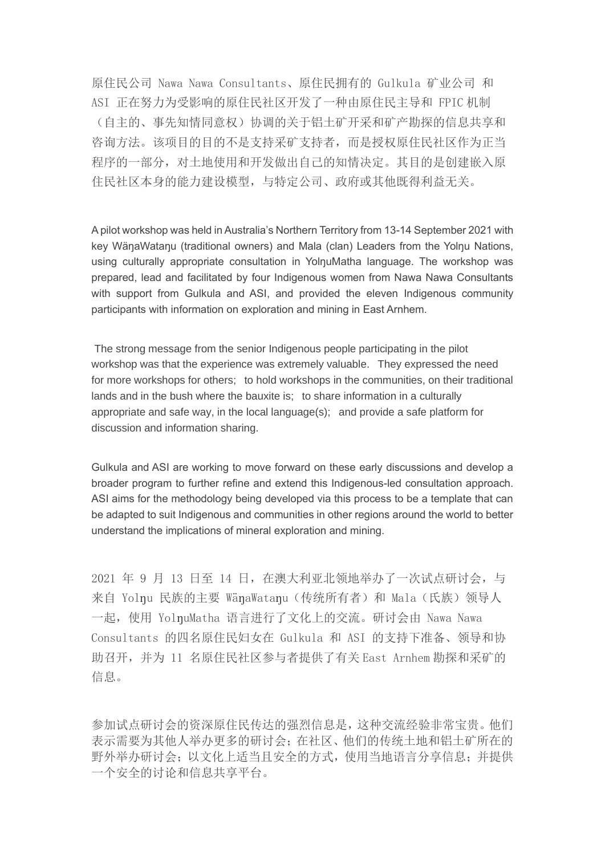原住民公司 Nawa Nawa Consultants、原住民拥有的 Gulkula 矿业公司 和 ASI 正在努力为受影响的原住民社区开发了一种由原住民主导和 FPIC 机制 (自主的、事先知情同意权)协调的关于铝土矿开采和矿产勘探的信息共享和 咨询方法。该项目的目的不是支持采矿支持者,而是授权原住民社区作为正当 程序的一部分,对土地使用和开发做出自己的知情决定。其目的是创建嵌入原 住民社区本身的能力建设模型,与特定公司、政府或其他既得利益无关。

A pilot workshop was held in Australia's Northern Territory from 13-14 September 2021 with key WänaWatanu (traditional owners) and Mala (clan) Leaders from the Yolnu Nations, using culturally appropriate consultation in YolnuMatha language. The workshop was prepared, lead and facilitated by four Indigenous women from Nawa Nawa Consultants with support from Gulkula and ASI, and provided the eleven Indigenous community participants with information on exploration and mining in East Arnhem.

The strong message from the senior Indigenous people participating in the pilot workshop was that the experience was extremely valuable. They expressed the need for more workshops for others; to hold workshops in the communities, on their traditional lands and in the bush where the bauxite is; to share information in a culturally appropriate and safe way, in the local language(s); and provide a safe platform for discussion and information sharing.

Gulkula and ASI are working to move forward on these early discussions and develop a broader program to further refine and extend this Indigenous-led consultation approach. ASI aims for the methodology being developed via this process to be a template that can be adapted to suit Indigenous and communities in other regions around the world to better understand the implications of mineral exploration and mining.

2021 年 9 月 13 日至 14 日, 在澳大利亚北领地举办了一次试点研讨会, 与 来自 Yolnu 民族的主要 WänaWatanu (传统所有者) 和 Mala (氏族) 领导人 一起,使用 YolŋuMatha 语言进行了文化上的交流。研讨会由 Nawa Nawa Consultants 的四名原住民妇女在 Gulkula 和 ASI 的支持下准备、领导和协 助召开,并为 11 名原住民社区参与者提供了有关 East Arnhem 勘探和采矿的 信息。

参加试点研讨会的资深原住民传达的强烈信息是,这种交流经验非常宝贵。他们 表示需要为其他人举办更多的研讨会;在社区、他们的传统土地和铝土矿所在的 野外举办研讨会;以文化上适当且安全的方式,使用当地语言分享信息;并提供 一个安全的讨论和信息共享平台。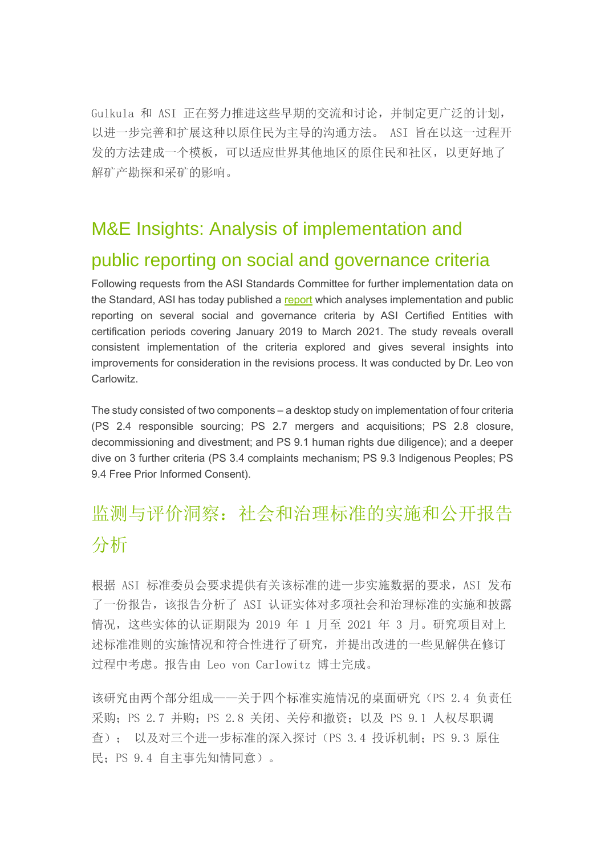Gulkula 和 ASI 正在努力推进这些早期的交流和讨论,并制定更广泛的计划, 以进一步完善和扩展这种以原住民为主导的沟通方法。 ASI 旨在以这一过程开 发的方法建成一个模板,可以适应世界其他地区的原住民和社区,以更好地了 解矿产勘探和采矿的影响。

# M&E Insights: Analysis of implementation and public reporting on social and governance criteria

Following requests from the ASI Standards Committee for further implementation data on the Standard, ASI has today published a [report](https://aluminium-stewardship.us10.list-manage.com/track/click?u=76e1739f033b4fd1950bedeb0&id=73c9212df6&e=1a1c75c2f0) which analyses implementation and public reporting on several social and governance criteria by ASI Certified Entities with certification periods covering January 2019 to March 2021. The study reveals overall consistent implementation of the criteria explored and gives several insights into improvements for consideration in the revisions process. It was conducted by Dr. Leo von Carlowitz.

The study consisted of two components – a desktop study on implementation of four criteria (PS 2.4 responsible sourcing; PS 2.7 mergers and acquisitions; PS 2.8 closure, decommissioning and divestment; and PS 9.1 human rights due diligence); and a deeper dive on 3 further criteria (PS 3.4 complaints mechanism; PS 9.3 Indigenous Peoples; PS 9.4 Free Prior Informed Consent).

# 监测与评价洞察:社会和治理标准的实施和公开报告 分析

根据 ASI 标准委员会要求提供有关该标准的进一步实施数据的要求,ASI 发布 了一份报告,该报告分析了 ASI 认证实体对多项社会和治理标准的实施和披露 情况,这些实体的认证期限为 2019 年 1 月至 2021 年 3 月。研究项目对上 述标准准则的实施情况和符合性进行了研究,并提出改进的一些见解供在修订 过程中考虑。报告由 Leo von Carlowitz 博士完成。

该研究由两个部分组成——关于四个标准实施情况的桌面研究(PS 2.4 负责任 采购: PS 2.7 并购: PS 2.8 关闭、关停和撤资: 以及 PS 9.1 人权尽职调 查); 以及对三个进一步标准的深入探讨(PS 3.4 投诉机制;PS 9.3 原住 民;PS 9.4 自主事先知情同意)。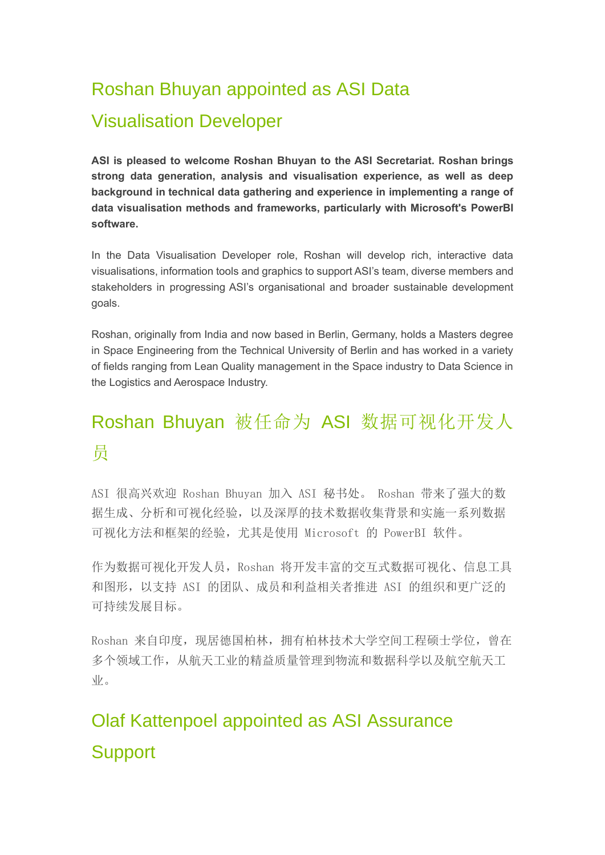# Roshan Bhuyan appointed as ASI Data Visualisation Developer

**ASI is pleased to welcome Roshan Bhuyan to the ASI Secretariat. Roshan brings strong data generation, analysis and visualisation experience, as well as deep background in technical data gathering and experience in implementing a range of data visualisation methods and frameworks, particularly with Microsoft's PowerBI software.**

In the Data Visualisation Developer role, Roshan will develop rich, interactive data visualisations, information tools and graphics to support ASI's team, diverse members and stakeholders in progressing ASI's organisational and broader sustainable development goals.

Roshan, originally from India and now based in Berlin, Germany, holds a Masters degree in Space Engineering from the Technical University of Berlin and has worked in a variety of fields ranging from Lean Quality management in the Space industry to Data Science in the Logistics and Aerospace Industry.

# Roshan Bhuyan 被任命为 ASI 数据可视化开发人 员

ASI 很高兴欢迎 Roshan Bhuyan 加入 ASI 秘书处。 Roshan 带来了强大的数 据生成、分析和可视化经验,以及深厚的技术数据收集背景和实施一系列数据 可视化方法和框架的经验,尤其是使用 Microsoft 的 PowerBI 软件。

作为数据可视化开发人员,Roshan 将开发丰富的交互式数据可视化、信息工具 和图形,以支持 ASI 的团队、成员和利益相关者推进 ASI 的组织和更广泛的 可持续发展目标。

Roshan 来自印度, 现居德国柏林, 拥有柏林技术大学空间工程硕士学位, 曾在 多个领域工作,从航天工业的精益质量管理到物流和数据科学以及航空航天工 业。

# Olaf Kattenpoel appointed as ASI Assurance **Support**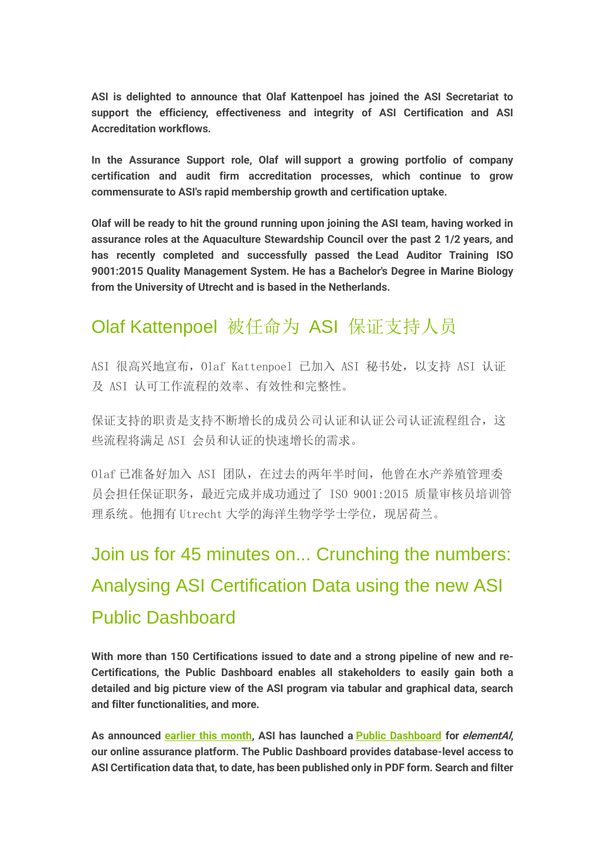**ASI is delighted to announce that Olaf Kattenpoel has joined the ASI Secretariat to support the efficiency, effectiveness and integrity of ASI Certification and ASI Accreditation workflows.**

In the Assurance Support role, Olaf will support a growing portfolio of company certification and audit firm accreditation processes, which continue to grow commensurate to ASI's rapid membership growth and certification uptake.

Olaf will be ready to hit the ground running upon joining the ASI team, having worked in assurance roles at the Aquaculture Stewardship Council over the past 2 1/2 years, and has recently completed and successfully passed the Lead Auditor Training ISO 9001:2015 Quality Management System. He has a Bachelor's Degree in Marine Biology from the University of Utrecht and is based in the Netherlands.

# Olaf Kattenpoel 被任命为 ASI 保证支持人员

ASI 很高兴地宣布,Olaf Kattenpoel 已加入 ASI 秘书处,以支持 ASI 认证 及 ASI 认可工作流程的效率、有效性和完整性。

保证支持的职责是支持不断增长的成员公司认证和认证公司认证流程组合,这 些流程将满足 ASI 会员和认证的快速增长的需求。

Olaf 已准备好加入 ASI 团队,在过去的两年半时间,他曾在水产养殖管理委 员会担任保证职务,最近完成并成功通过了 ISO 9001:2015 质量审核员培训管 理系统。他拥有 Utrecht 大学的海洋生物学学士学位,现居荷兰。

# Join us for 45 minutes on... Crunching the numbers: Analysing ASI Certification Data using the new ASI Public Dashboard

**With more than 150 Certifications issued to date and a strong pipeline of new and re-Certifications, the Public Dashboard enables all stakeholders to easily gain both a detailed and big picture view of the ASI program via tabular and graphical data, search and filter functionalities, and more.**

As announced [earlier this month,](https://aluminium-stewardship.us10.list-manage.com/track/click?u=76e1739f033b4fd1950bedeb0&id=74c806517a&e=1a1c75c2f0) ASI has launched a [Public Dashboard](https://aluminium-stewardship.us10.list-manage.com/track/click?u=76e1739f033b4fd1950bedeb0&id=9dc841a194&e=1a1c75c2f0) for elementAI, our online assurance platform. The Public Dashboard provides database-level access to ASI Certification data that, to date, has been published only in PDF form. Search and filter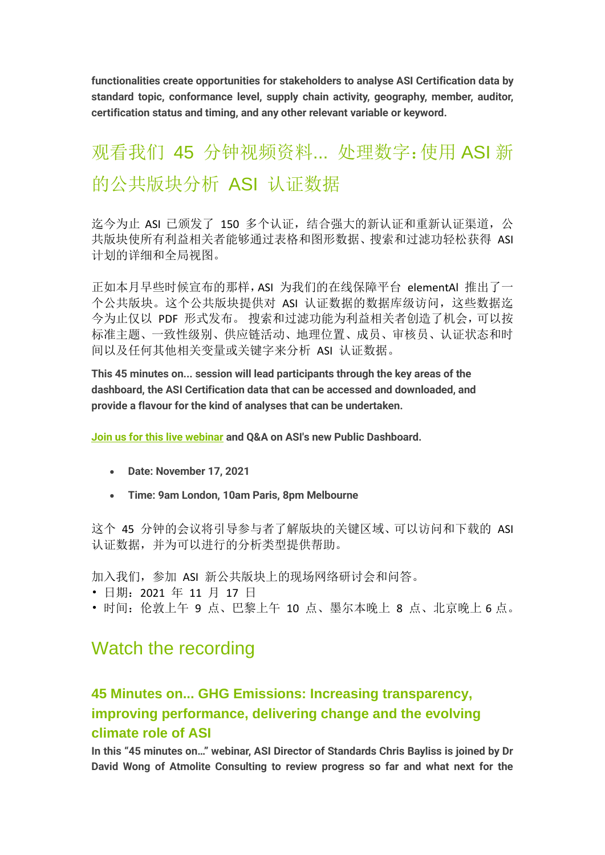functionalities create opportunities for stakeholders to analyse ASI Certification data by standard topic, conformance level, supply chain activity, geography, member, auditor, certification status and timing, and any other relevant variable or keyword.

# 观看我们 45 分钟视频资料... 处理数字:使用 ASI 新 的公共版块分析 ASI 认证数据

迄今为止 ASI 已颁发了 150 多个认证, 结合强大的新认证和重新认证渠道, 公 共版块使所有利益相关者能够通过表格和图形数据、搜索和过滤功轻松获得 ASI 计划的详细和全局视图。

正如本月早些时候宣布的那样,ASI 为我们的在线保障平台 elementAl 推出了一 个公共版块。这个公共版块提供对 ASI 认证数据的数据库级访问,这些数据迄 今为止仅以 PDF 形式发布。 搜索和过滤功能为利益相关者创造了机会,可以按 标准主题、一致性级别、供应链活动、地理位置、成员、审核员、认证状态和时 间以及任何其他相关变量或关键字来分析 ASI 认证数据。

This 45 minutes on... session will lead participants through the key areas of the dashboard, the ASI Certification data that can be accessed and downloaded, and provide a flavour for the kind of analyses that can be undertaken.

[Join us for this live webinar](https://aluminium-stewardship.us10.list-manage.com/track/click?u=76e1739f033b4fd1950bedeb0&id=26cf5a5efb&e=1a1c75c2f0) and Q&A on ASI's new Public Dashboard.

- **Date: November 17, 2021**
- **Time: 9am London, 10am Paris, 8pm Melbourne**

这个 45 分钟的会议将引导参与者了解版块的关键区域、可以访问和下载的 ASI 认证数据,并为可以进行的分析类型提供帮助。

加入我们,参加 ASI 新公共版块上的现场网络研讨会和问答。

- 日期:2021 年 11 月 17 日
- 时间:伦敦上午 9 点、巴黎上午 10 点、墨尔本晚上 8 点、北京晚上 6 点。

# Watch the recording

## **45 Minutes on... GHG Emissions: Increasing transparency, improving performance, delivering change and the evolving climate role of ASI**

In this "45 minutes on…" webinar, ASI Director of Standards Chris Bayliss is joined by Dr David Wong of Atmolite Consulting to review progress so far and what next for the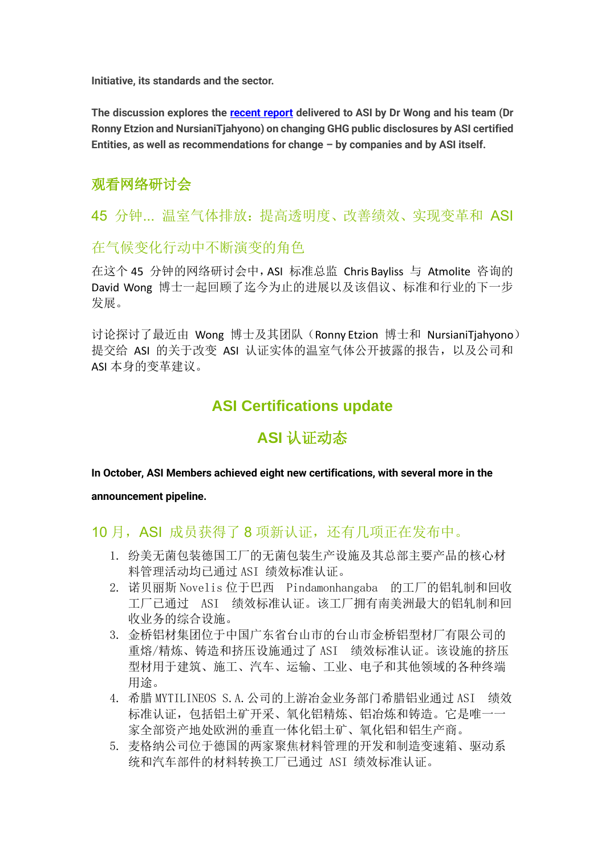Initiative, its standards and the sector.

The discussion explores the [recent report](https://aluminium-stewardship.us10.list-manage.com/track/click?u=76e1739f033b4fd1950bedeb0&id=8242a978b5&e=1a1c75c2f0) delivered to ASI by Dr Wong and his team (Dr Ronny Etzion and NursianiTjahyono) on changing GHG public disclosures by ASI certified Entities, as well as recommendations for change – by companies and by ASI itself.

## 观看网络研讨会

45 分钟... 温室气体排放:提高透明度、改善绩效、实现变革和 ASI

### 在气候变化行动中不断演变的角色

在这个 45 分钟的网络研讨会中,ASI 标准总监 Chris Bayliss 与 Atmolite 咨询的 David Wong 博士一起回顾了迄今为止的进展以及该倡议、标准和行业的下一步 发展。

讨论探讨了最近由 Wong 博士及其团队(Ronny Etzion 博士和 NursianiTjahyono) 提交给 ASI 的关于改变 ASI 认证实体的温室气体公开披露的报告,以及公司和 ASI 本身的变革建议。

## **ASI Certifications update**

## **ASI** 认证动态

#### In October, ASI Members achieved eight new certifications, with several more in the

#### announcement pipeline.

### 10 月, ASI 成员获得了 8 项新认证, 还有几项正在发布中。

- 1. 纷美无菌包装德国工厂的无菌包装生产设施及其总部主要产品的核心材 料管理活动均已通过 ASI 绩效标准认证。
- 2. 诺贝丽斯 Novelis 位于巴西 Pindamonhangaba 的工厂的铝轧制和回收 工厂已通过 ASI 绩效标准认证。该工厂拥有南美洲最大的铝轧制和回 收业务的综合设施。
- 3. 金桥铝材集团位于中国广东省台山市的台山市金桥铝型材厂有限公司的 重熔/精炼、铸造和挤压设施通过了 ASI 绩效标准认证。该设施的挤压 型材用于建筑、施工、汽车、运输、工业、电子和其他领域的各种终端 用途。
- 4. 希腊 MYTILINEOS S.A.公司的上游冶金业务部门希腊铝业通过 ASI 绩效 标准认证,包括铝土矿开采、氧化铝精炼、铝冶炼和铸造。它是唯一一 家全部资产地处欧洲的垂直一体化铝土矿、氧化铝和铝生产商。
- 5. 麦格纳公司位于德国的两家聚焦材料管理的开发和制造变速箱、驱动系 统和汽车部件的材料转换工厂已通过 ASI 绩效标准认证。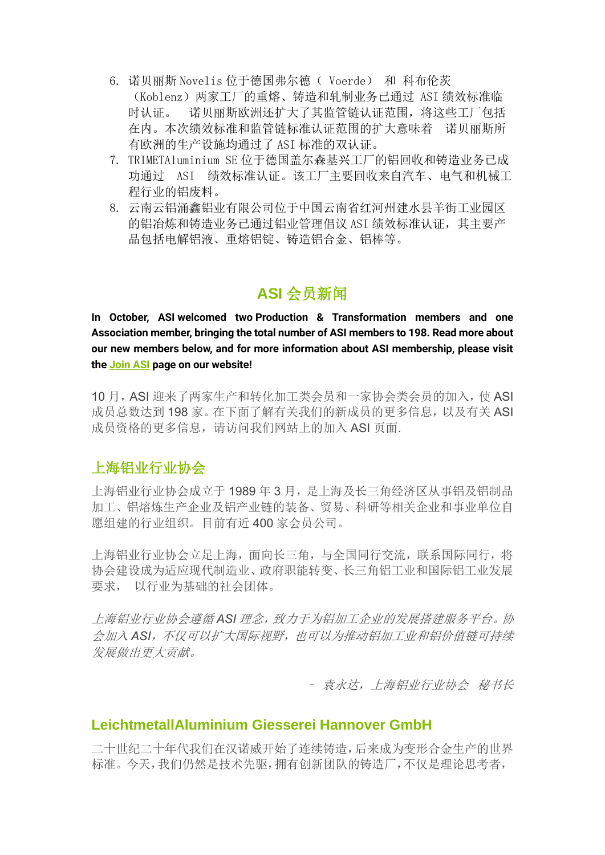- 6. 诺贝丽斯 Novelis 位于德国弗尔德( Voerde) 和 科布伦茨 (Koblenz)两家工厂的重熔、铸造和轧制业务已通过 ASI 绩效标准临 时认证。 诺贝丽斯欧洲还扩大了其监管链认证范围,将这些工厂包括 在内。本次绩效标准和监管链标准认证范围的扩大意味着 诺贝丽斯所 有欧洲的生产设施均通过了 ASI 标准的双认证。
- 7. TRIMETAluminium SE 位于德国盖尔森基兴工厂的铝回收和铸造业务已成 功通过 ASI 绩效标准认证。该工厂主要回收来自汽车、电气和机械工 程行业的铝废料。
- 8. 云南云铝涌鑫铝业有限公司位于中国云南省红河州建水县羊街工业园区 的铝冶炼和铸造业务已通过铝业管理倡议 ASI 绩效标准认证, 其主要产 品包括电解铝液、重熔铝锭、铸造铝合金、铝棒等。

# **ASI** 会员新闻

In October, ASI welcomed two Production & Transformation members and one Association member, bringing the total number of ASI members to 198. Read more about our new members below, and for more information about ASI membership, please visit th[e Join ASI](https://aluminium-stewardship.us10.list-manage.com/track/click?u=76e1739f033b4fd1950bedeb0&id=0babdd17ab&e=1a1c75c2f0) page on our website!

10 月,ASI 迎来了两家生产和转化加工类会员和一家协会类会员的加入,使 ASI 成员总数达到 198 家。在下面了解有关我们的新成员的更多信息, 以及有关 ASI 成员资格的更多信息,请访问我们网站上的加入 ASI 页面.

### 上海铝业行业协会

上海铝业行业协会成立于 1989 年 3 月,是上海及长三角经济区从事铝及铝制品 加工、铝熔炼生产企业及铝产业链的装备、贸易、科研等相关企业和事业单位自 愿组建的行业组织。目前有近 400 家会员公司。

上海铝业行业协会立足上海,面向长三角,与全国同行交流,联系国际同行,将 协会建设成为适应现代制造业、政府职能转变、长三角铝工业和国际铝工业发展 要求, 以行业为基础的社会团体。

上海铝业行业协会遵循 *ASI* 理念,致力于为铝加工企业的发展搭建服务平台。协 会加入 *ASI*,不仅可以扩大国际视野,也可以为推动铝加工业和铝价值链可持续 发展做出更大贡献。

– 袁永达,上海铝业行业协会 秘书长

### **LeichtmetallAluminium Giesserei Hannover GmbH**

二十世纪二十年代我们在汉诺威开始了连续铸造,后来成为变形合金生产的世界 标准。今天,我们仍然是技术先驱,拥有创新团队的铸造厂,不仅是理论思考者,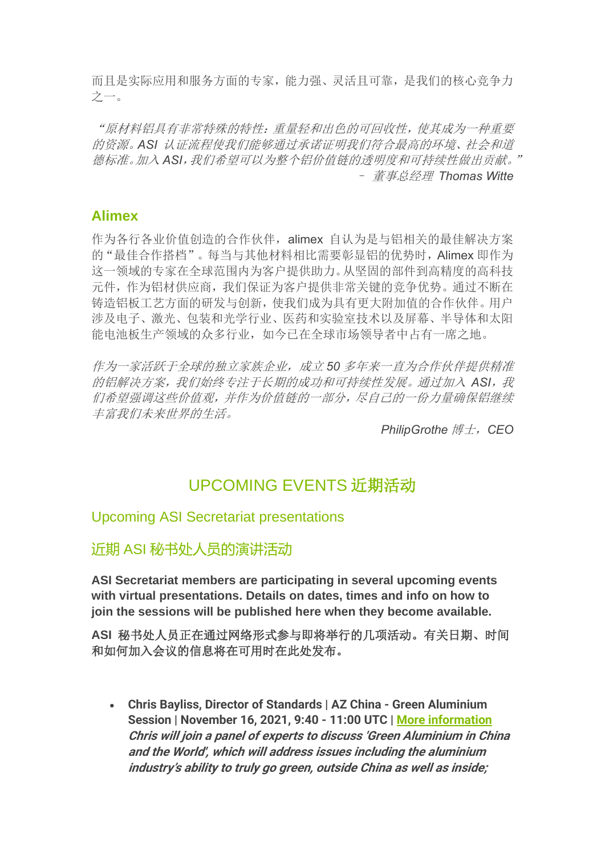而且是实际应用和服务方面的专家,能力强、灵活且可靠,是我们的核心竞争力 之一。

"原材料铝具有非常特殊的特性:重量轻和出色的可回收性,使其成为一种重要 的资源。*ASI* 认证流程使我们能够通过承诺证明我们符合最高的环境、社会和道 德标准。加入 *ASI*,我们希望可以为整个铝价值链的透明度和可持续性做出贡献。" – 董事总经理 *Thomas Witte*

### **Alimex**

作为各行各业价值创造的合作伙伴,alimex 自认为是与铝相关的最佳解决方案 的"最佳合作搭档"。每当与其他材料相比需要彰显铝的优势时,Alimex 即作为 这一领域的专家在全球范围内为客户提供助力。从坚固的部件到高精度的高科技 元件,作为铝材供应商,我们保证为客户提供非常关键的竞争优势。通过不断在 铸造铝板工艺方面的研发与创新,使我们成为具有更大附加值的合作伙伴。用户 涉及电子、激光、包装和光学行业、医药和实验室技术以及屏幕、半导体和太阳 能电池板生产领域的众多行业,如今已在全球市场领导者中占有一席之地。

作为一家活跃于全球的独立家族企业,成立 *50* 多年来一直为合作伙伴提供精准 的铝解决方案,我们始终专注于长期的成功和可持续性发展。通过加入 *ASI*,我 们希望强调这些价值观,并作为价值链的一部分,尽自己的一份力量确保铝继续 丰富我们未来世界的生活。

*PhilipGrothe* 博士,*CEO*

# UPCOMING EVENTS 近期活动

### Upcoming ASI Secretariat presentations

近期 ASI 秘书处人员的演讲活动

**ASI Secretariat members are participating in several upcoming events with virtual presentations. Details on dates, times and info on how to join the sessions will be published here when they become available.**

**ASI** 秘书处人员正在通过网络形式参与即将举行的几项活动。有关日期、时间 和如何加入会议的信息将在可用时在此处发布。

• Chris Bayliss, Director of Standards | **AZ China - Green Aluminium Session** | November 16, 2021, 9:40 - 11:00 UTC | [More information](https://aluminium-stewardship.us10.list-manage.com/track/click?u=76e1739f033b4fd1950bedeb0&id=a334ba412d&e=1a1c75c2f0) Chris will join a panel of experts to discuss 'Green Aluminium in China and the World', which will address issues including the aluminium industry's ability to truly go green, outside China as well as inside;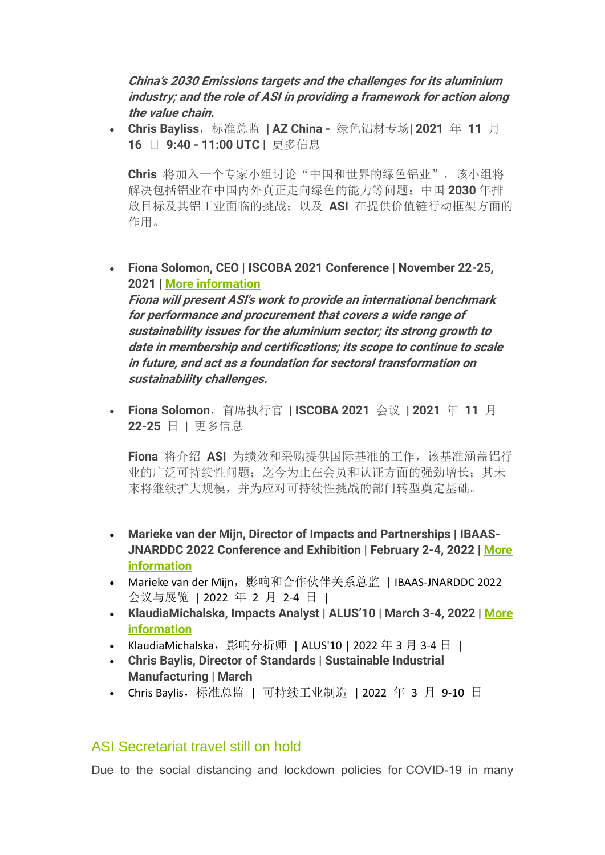China's 2030 Emissions targets and the challenges for its aluminium industry; and the role of ASI in providing a framework for action along the value chain.

• Chris Bayliss, 标准总监 | AZ China - 绿色铝材专场| 2021 年 11 月 16 日 9:40 - 11:00 UTC | 更多信息

Chris 将加入一个专家小组讨论"中国和世界的绿色铝业",该小组将 解决包括铝业在中国内外真正走向绿色的能力等问题;中国 2030 年排 放目标及其铝工业面临的挑战;以及 ASI 在提供价值链行动框架方面的 作用。

• Fiona Solomon, CEO | **ISCOBA 2021 Conference** | November 22-25, 2021 | [More information](https://aluminium-stewardship.us10.list-manage.com/track/click?u=76e1739f033b4fd1950bedeb0&id=f523ba6893&e=1a1c75c2f0)

Fiona will present ASI's work to provide an international benchmark for performance and procurement that covers a wide range of sustainability issues for the aluminium sector; its strong growth to date in membership and certifications; its scope to continue to scale in future, and act as a foundation for sectoral transformation on sustainability challenges.

• Fiona Solomon, 首席执行官 | ISCOBA 2021 会议 | 2021 年 11 月 22-25 日 | 更多信息

Fiona 将介绍 ASI 为绩效和采购提供国际基准的工作,该基准涵盖铝行 业的广泛可持续性问题;迄今为止在会员和认证方面的强劲增长;其未 来将继续扩大规模,并为应对可持续性挑战的部门转型奠定基础。

- Marieke van der Mijn, Director of Impacts and Partnerships | **IBAAS-JNARDDC 2022 Conference and Exhibition** | February 2-4, 2022 | [More](https://aluminium-stewardship.us10.list-manage.com/track/click?u=76e1739f033b4fd1950bedeb0&id=d94abe5cd3&e=1a1c75c2f0)  [information](https://aluminium-stewardship.us10.list-manage.com/track/click?u=76e1739f033b4fd1950bedeb0&id=d94abe5cd3&e=1a1c75c2f0)
- Marieke van der Mijn,影响和合作伙伴关系总监 | IBAAS-JNARDDC 2022 会议与展览 | 2022 年 2 月 2-4 日 |
- KlaudiaMichalska, Impacts Analyst | **ALUS'10** | March 3-4, 2022 | [More](https://aluminium-stewardship.us10.list-manage.com/track/click?u=76e1739f033b4fd1950bedeb0&id=5ba2ef5605&e=1a1c75c2f0)  [information](https://aluminium-stewardship.us10.list-manage.com/track/click?u=76e1739f033b4fd1950bedeb0&id=5ba2ef5605&e=1a1c75c2f0)
- KlaudiaMichalska,影响分析师 | ALUS'10 | 2022 年 3 月 3-4 日 |
- Chris Baylis, Director of Standards | **Sustainable Industrial Manufacturing** | March
- Chris Baylis,标准总监 | 可持续工业制造 | 2022 年 3 月 9-10 日

### ASI Secretariat travel still on hold

Due to the social distancing and lockdown policies for COVID-19 in many